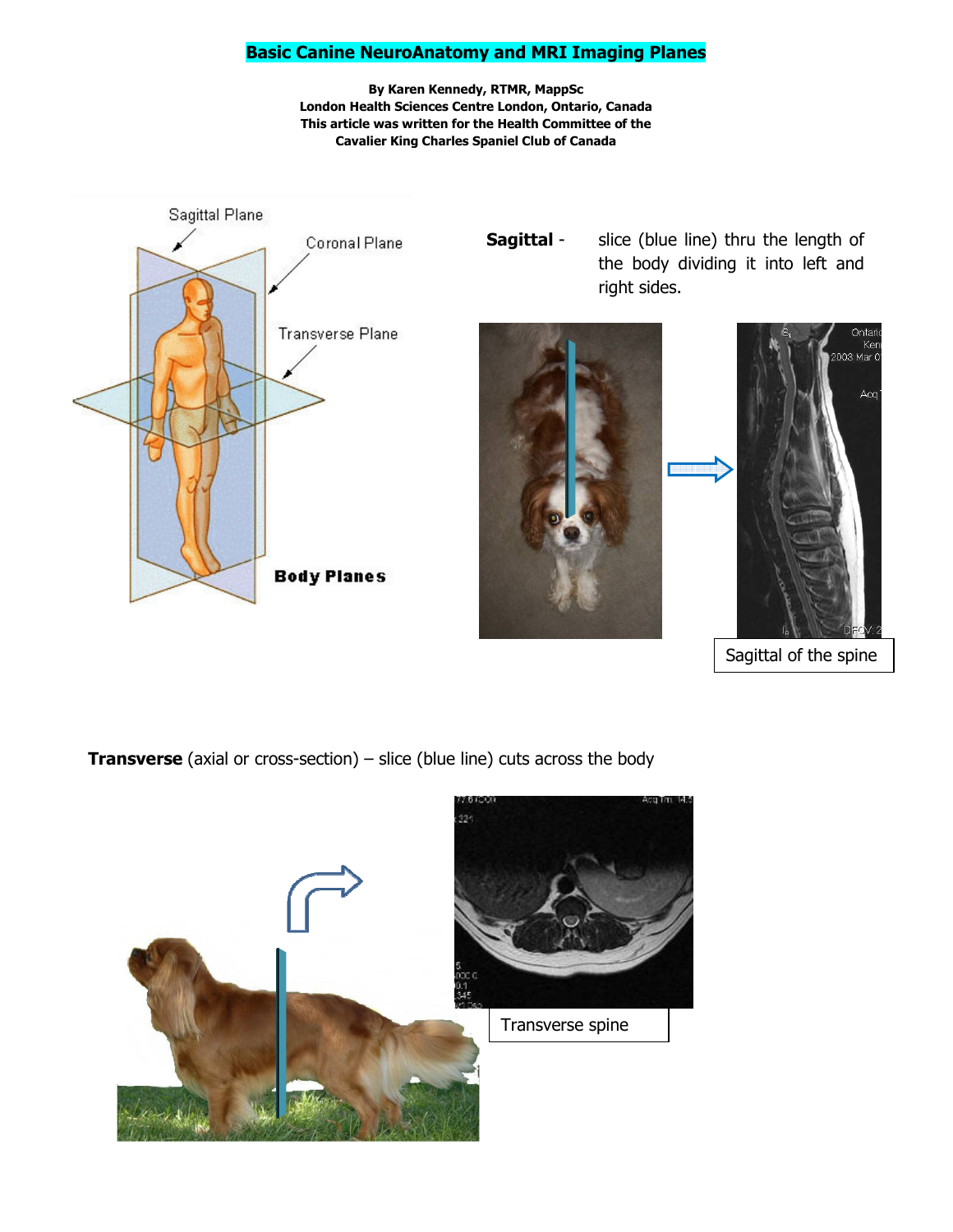#### Basic Canine NeuroAnatomy and MRI Imaging Planes

By Karen Kennedy, RTMR, MappSc London Health Sciences Centre London, Ontario, Canada This article was written for the Health Committee of the Cavalier King Charles Spaniel Club of Canada



**Sagittal** - slice (blue line) thru the length of the body dividing it into left and right sides.





**Transverse** (axial or cross-section)  $-$  slice (blue line) cuts across the body

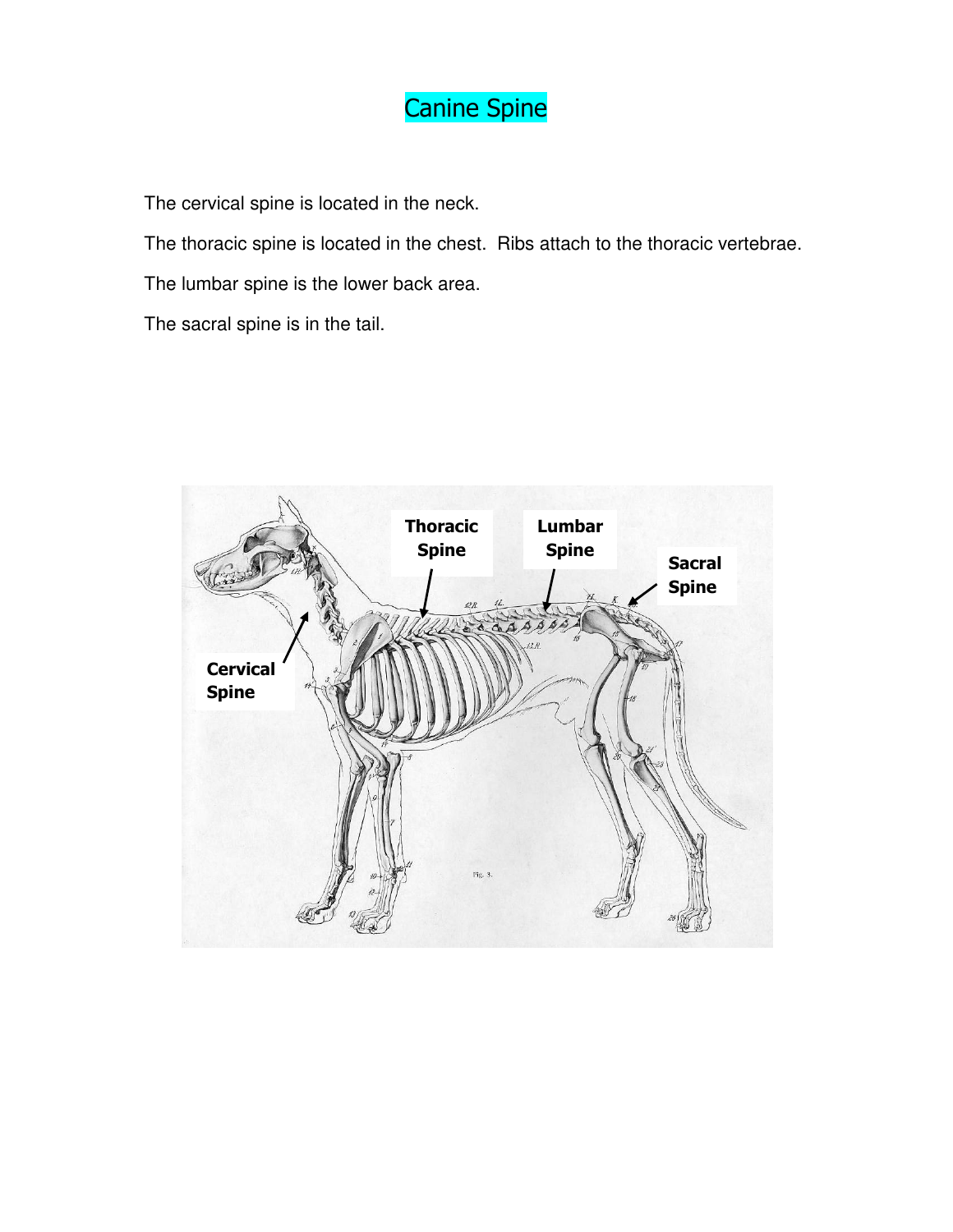## Canine Spine

The cervical spine is located in the neck.

The thoracic spine is located in the chest. Ribs attach to the thoracic vertebrae.

The lumbar spine is the lower back area.

The sacral spine is in the tail.

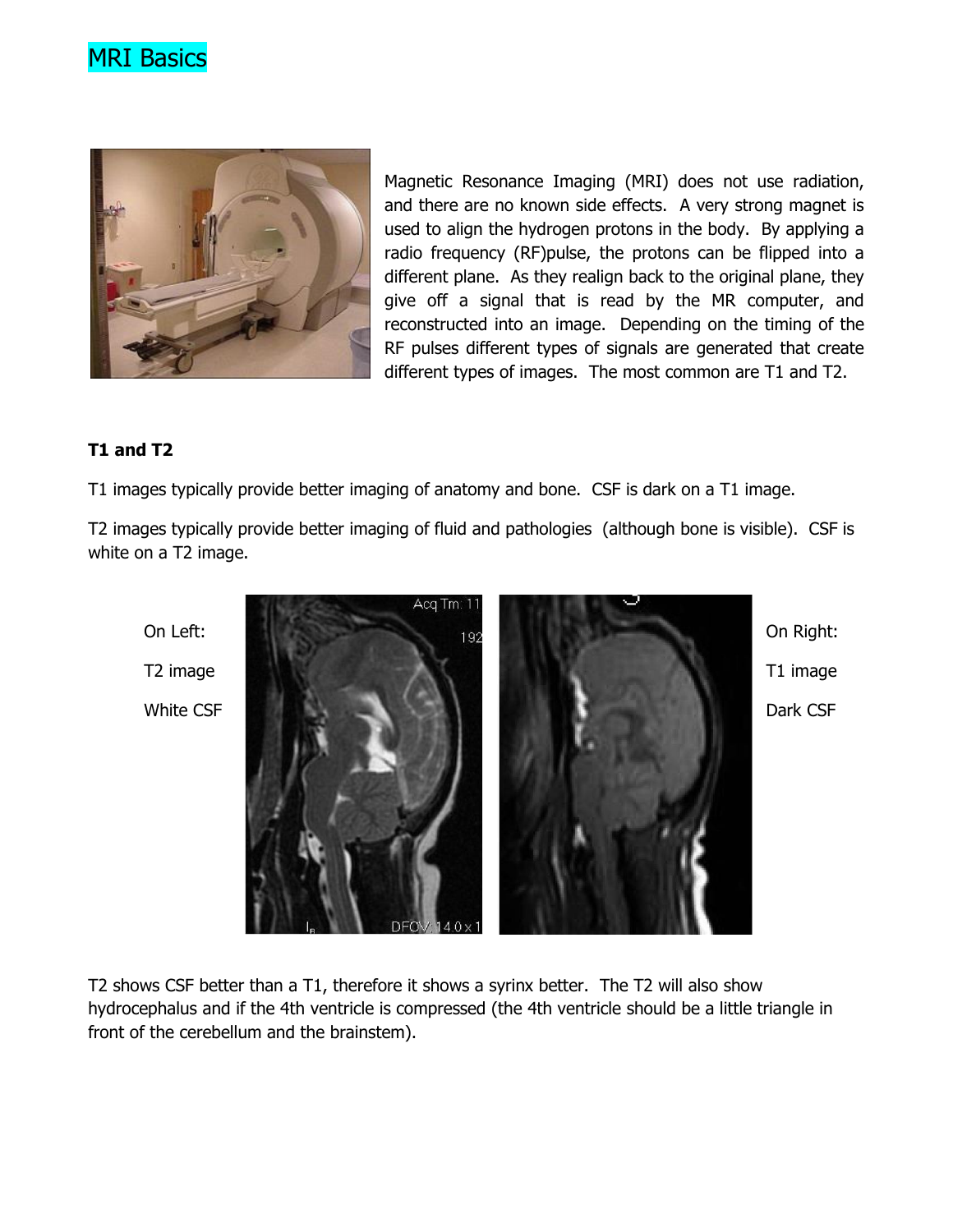



Magnetic Resonance Imaging (MRI) does not use radiation, and there are no known side effects. A very strong magnet is used to align the hydrogen protons in the body. By applying a radio frequency (RF)pulse, the protons can be flipped into a different plane. As they realign back to the original plane, they give off a signal that is read by the MR computer, and reconstructed into an image. Depending on the timing of the RF pulses different types of signals are generated that create different types of images. The most common are T1 and T2.

#### T1 and T2

T1 images typically provide better imaging of anatomy and bone. CSF is dark on a T1 image.

T2 images typically provide better imaging of fluid and pathologies (although bone is visible). CSF is white on a T2 image.



T2 shows CSF better than a T1, therefore it shows a syrinx better. The T2 will also show hydrocephalus and if the 4th ventricle is compressed (the 4th ventricle should be a little triangle in front of the cerebellum and the brainstem).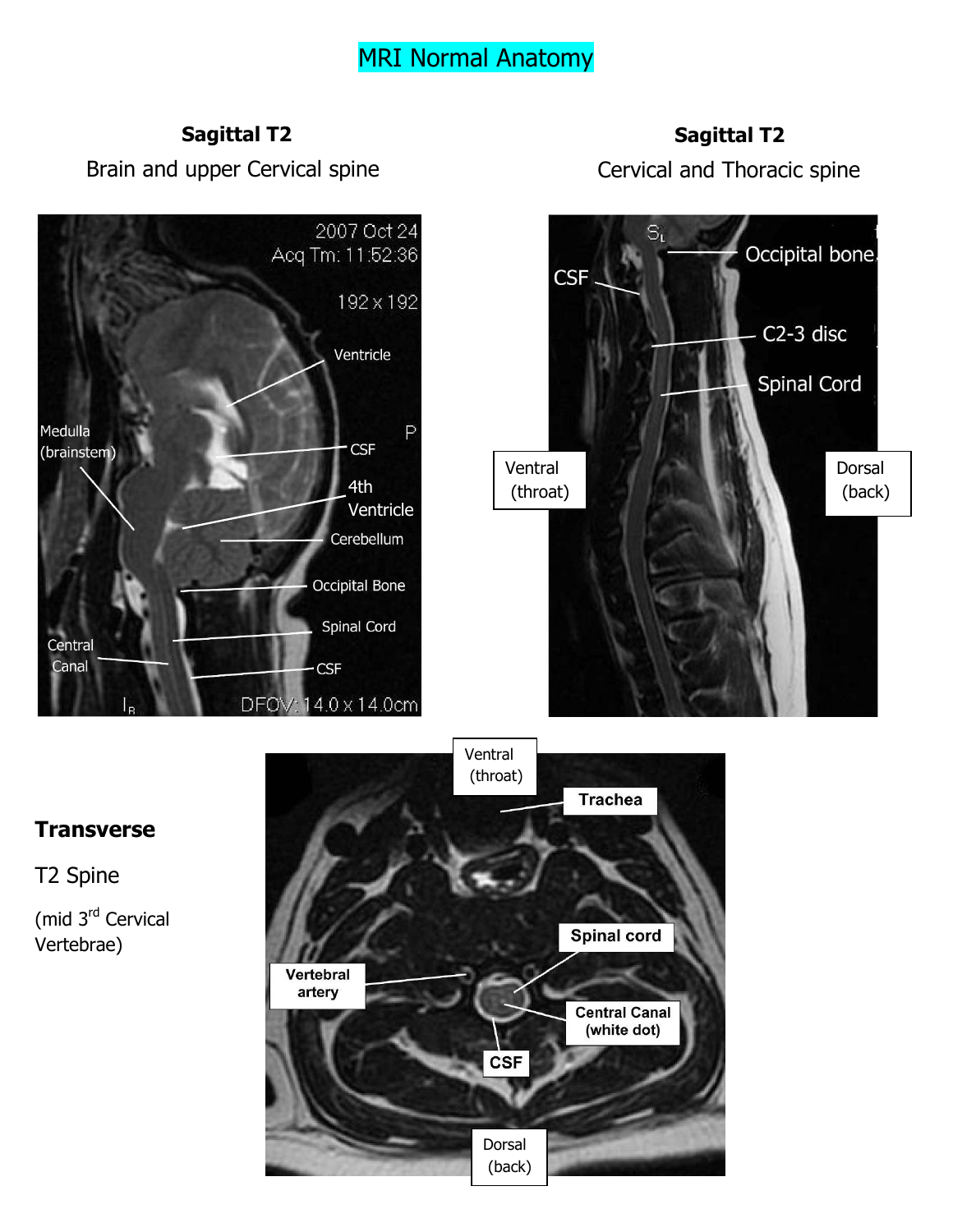## MRI Normal Anatomy

#### Sagittal T2

Brain and upper Cervical spine

### Sagittal T2

Cervical and Thoracic spine



#### **Transverse**

T2 Spine

(mid 3rd Cervical Vertebrae)